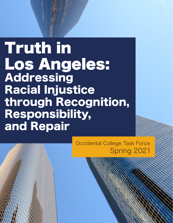Truth in Los Angeles: Addressing Racial Injustice through Recognition, Responsibility, and Repair

> Occidental College Task Force Spring 2021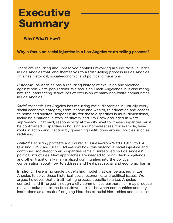# **Executive Summary**

Why? What? How?

## Why a focus on racial injustice in a Los Angeles truth-telling process?

There are recurring and unresolved conflicts revolving around racial injustice in Los Angeles that lend themselves to a truth-telling process in Los Angeles. This has historical, social-economic, and political dimensions:

*Historical:* Los Angeles has a recurring history of exclusion and violence against non-white populations. We focus on Black Angelenos, but also recognize the intersecting structures of exclusion of many non-white communities in Los Angeles.

*Social-economic:* Los Angeles has recurring racial disparities in virtually every social-economic category, from income and wealth, to education and access to home and shelter. Responsibility for these disparities is multi-dimensional, including a national history of slavery and Jim Crow grounded in white supremacy. That said, responsibility at the city level for these disparities must be confronted. Disparities in housing and homelessness, for example, have roots in action and inaction by governing institutions around policies such as red-lining.

*Political:* Recurring protests around racial issues––from Watts 1965, to L.A Uprising 1992 and BLM 2020––show how this history of racial injustice and continued social-economic disparities remain unresolved by Los Angeles' political structures. New approaches are needed to bring Black Angelenos and other traditionally marginalized communities into the political conversation about how to address and heal past social and economic harms.

In short: There is no single truth-telling model that can be applied in Los Angeles to solve these historical, social-economic, and political issues. We argue, however, that a truth-telling process specific to a Los Angeles context––and if forged through a city-communities partnership––may produce relevant solutions to the breakdown in trust between communities and city institutions as a result of ongoing histories of racial hierarchies and exclusion.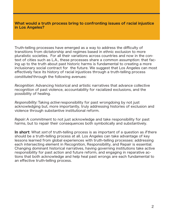#### What would a truth process bring to confronting issues of racial injustice in Los Angeles?

Truth-telling processes have emerged as a way to address the difficulty of transitions from dictatorship and regimes based in ethnic exclusion to more pluralistic societies. For all their variations across countries and now in the context of cities such as L.A., these processes share a common assumption: that facing up to the truth about past historic harms is fundamental to creating a more inclusionary social contract for the future. We suggest that Los Angeles can most effectively face its history of racial injustices through a truth-telling process *constituted* through the following avenues:

*Recognition*: Advancing historical and artistic narratives that advance collective recognition of past violence, accountability for racialized exclusions, and the possibility of healing.

*Responsibility:* Taking *active* responsibility for past wrongdoing by not just acknowledging but, more importantly, truly addressing histories of exclusion and violence through substantive institutional reform.

*Repair:* A commitment to not just acknowledge and take responsibility for past harms, but to repair their consequences both symbolically and substantively.

In short: What *sort* of truth-telling process is as important of a question as *if* there should be a truth-telling process at all. Los Angeles can take advantage of key lessons learned from global experiences with truth-telling processes: addressing each intersecting element in Recognition, Responsibility, and Repair is essential. Changing dominant historical narratives, having governing institutions take active responsibility for past action and future reform, and engaging in reparative actions that both acknowledge and help heal past wrongs are each fundamental to an effective truth-telling process.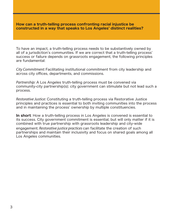#### How can a truth-telling process confronting racial injustice be constructed in a way that speaks to Los Angeles' distinct realities?

To have an impact, a truth-telling process needs to be substantively owned by all of a jurisdiction's communities. If we are correct that a truth-telling process' success or failure depends on grassroots engagement, the following principles are fundamental:

*City Commitment:* Facilitating institutional commitment from city leadership and across city offices, departments, and commissions.

*Partnership:* A Los Angeles truth-telling process must be convened via community-city partnership(s); city government can stimulate but not lead such a process.

*Restorative Justice:* Constituting a truth-telling process via Restorative Justice principles and practices is essential to both inviting communities into the process and in maintaining the process' ownership by multiple constituencies.

In short: How a truth-telling process in Los Angeles is convened is essential to its success. City government commitment is essential, but will only matter if it is combined with true partnership with grassroots leadership and city-wide engagement. *Restorative justice practices* can facilitate the creation of such partnerships and maintain their inclusivity and focus on shared goals among all Los Angeles communities.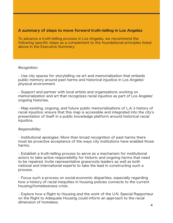## A summary of steps to move forward truth-telling in Los Angeles

To advance a truth-telling process in Los Angeles, we recommend the following specific steps as a complement to the foundational principles listed above in the Executive Summary.

## *Recognition:*

• Use city spaces for storytelling via art and memorialization that embeds public memory around past harms and historical injustice in Los Angeles' physical environment.

• Support and partner with local artists and organizations working on memorialization and art that recognizes racial injustice as part of Los Angeles' ongoing histories.

• Map existing, ongoing, and future public memorializations of L.A.'s history of racial injustice; ensure that this map is accessible and integrated into the city's presentation of itself in a public knowledge platform around historical racial injustice.

## *Responsibility:*

• Institutional apologies: More than broad recognition of past harms there must be proactive acceptance of the ways city institutions have enabled those harms.

• Establish a truth-telling process to serve as a mechanism for institutional actors to take active responsibility for historic and ongoing harms that need to be repaired. Invite representative grassroots leaders as well as both national and international experts to take the lead in constructing such a process.

• Focus such a process on social-economic disparities, especially regarding how a history of racial inequities in housing policies connects to the current housing/homelessness crisis.

• Explore how a Right to Housing and the work of the U.N. Special Rapporteur on the Right to Adequate Housing could inform an approach to the racial dimension of homeless.